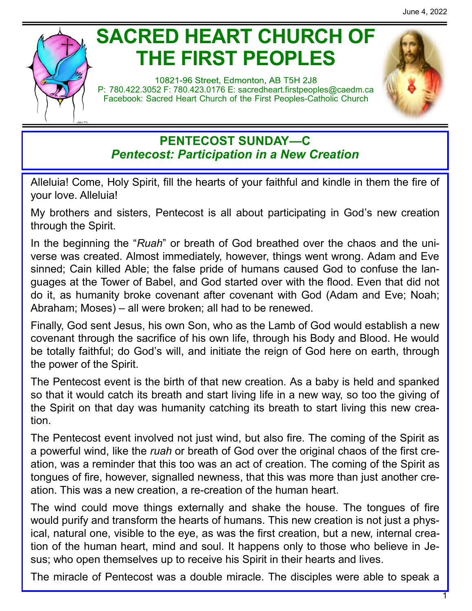# **SACRED HEART CHURCH OF THE FIRST PEOPLES**

10821-96 Street, Edmonton, AB T5H 2J8 P: 780.422.3052 F: 780.423.0176 E: [sacredheart.](mailto:sacredheart.firstpeoples@caedm.ca)firstpeoples@caedm.ca Facebook: Sacred Heart Church of the First Peoples-Catholic Church



# **PENTECOST SUNDAY—C** *Pentecost: Participation in a New Creation*

Alleluia! Come, Holy Spirit, fill the hearts of your faithful and kindle in them the fire of your love. Alleluia!

My brothers and sisters, Pentecost is all about participating in God's new creation through the Spirit.

In the beginning the "*Ruah*" or breath of God breathed over the chaos and the universe was created. Almost immediately, however, things went wrong. Adam and Eve sinned; Cain killed Able; the false pride of humans caused God to confuse the languages at the Tower of Babel, and God started over with the flood. Even that did not do it, as humanity broke covenant after covenant with God (Adam and Eve; Noah; Abraham; Moses) – all were broken; all had to be renewed.

Finally, God sent Jesus, his own Son, who as the Lamb of God would establish a new covenant through the sacrifice of his own life, through his Body and Blood. He would be totally faithful; do God's will, and initiate the reign of God here on earth, through the power of the Spirit.

The Pentecost event is the birth of that new creation. As a baby is held and spanked so that it would catch its breath and start living life in a new way, so too the giving of the Spirit on that day was humanity catching its breath to start living this new creation.

The Pentecost event involved not just wind, but also fire. The coming of the Spirit as a powerful wind, like the *ruah* or breath of God over the original chaos of the first creation, was a reminder that this too was an act of creation. The coming of the Spirit as tongues of fire, however, signalled newness, that this was more than just another creation. This was a new creation, a re-creation of the human heart.

The wind could move things externally and shake the house. The tongues of fire would purify and transform the hearts of humans. This new creation is not just a physical, natural one, visible to the eye, as was the first creation, but a new, internal creation of the human heart, mind and soul. It happens only to those who believe in Jesus; who open themselves up to receive his Spirit in their hearts and lives.

The miracle of Pentecost was a double miracle. The disciples were able to speak a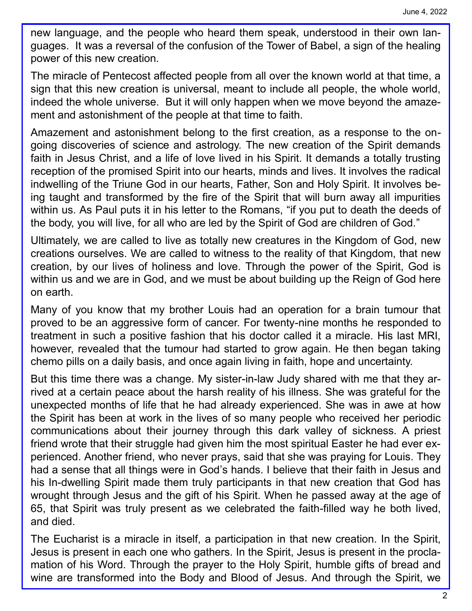new language, and the people who heard them speak, understood in their own languages. It was a reversal of the confusion of the Tower of Babel, a sign of the healing power of this new creation.

The miracle of Pentecost affected people from all over the known world at that time, a sign that this new creation is universal, meant to include all people, the whole world, indeed the whole universe. But it will only happen when we move beyond the amazement and astonishment of the people at that time to faith.

Amazement and astonishment belong to the first creation, as a response to the ongoing discoveries of science and astrology. The new creation of the Spirit demands faith in Jesus Christ, and a life of love lived in his Spirit. It demands a totally trusting reception of the promised Spirit into our hearts, minds and lives. It involves the radical indwelling of the Triune God in our hearts, Father, Son and Holy Spirit. It involves being taught and transformed by the fire of the Spirit that will burn away all impurities within us. As Paul puts it in his letter to the Romans, "if you put to death the deeds of the body, you will live, for all who are led by the Spirit of God are children of God."

Ultimately, we are called to live as totally new creatures in the Kingdom of God, new creations ourselves. We are called to witness to the reality of that Kingdom, that new creation, by our lives of holiness and love. Through the power of the Spirit, God is within us and we are in God, and we must be about building up the Reign of God here on earth.

Many of you know that my brother Louis had an operation for a brain tumour that proved to be an aggressive form of cancer. For twenty-nine months he responded to treatment in such a positive fashion that his doctor called it a miracle. His last MRI, however, revealed that the tumour had started to grow again. He then began taking chemo pills on a daily basis, and once again living in faith, hope and uncertainty.

But this time there was a change. My sister-in-law Judy shared with me that they arrived at a certain peace about the harsh reality of his illness. She was grateful for the unexpected months of life that he had already experienced. She was in awe at how the Spirit has been at work in the lives of so many people who received her periodic communications about their journey through this dark valley of sickness. A priest friend wrote that their struggle had given him the most spiritual Easter he had ever experienced. Another friend, who never prays, said that she was praying for Louis. They had a sense that all things were in God's hands. I believe that their faith in Jesus and his In-dwelling Spirit made them truly participants in that new creation that God has wrought through Jesus and the gift of his Spirit. When he passed away at the age of 65, that Spirit was truly present as we celebrated the faith-filled way he both lived, and died.

The Eucharist is a miracle in itself, a participation in that new creation. In the Spirit, Jesus is present in each one who gathers. In the Spirit, Jesus is present in the proclamation of his Word. Through the prayer to the Holy Spirit, humble gifts of bread and wine are transformed into the Body and Blood of Jesus. And through the Spirit, we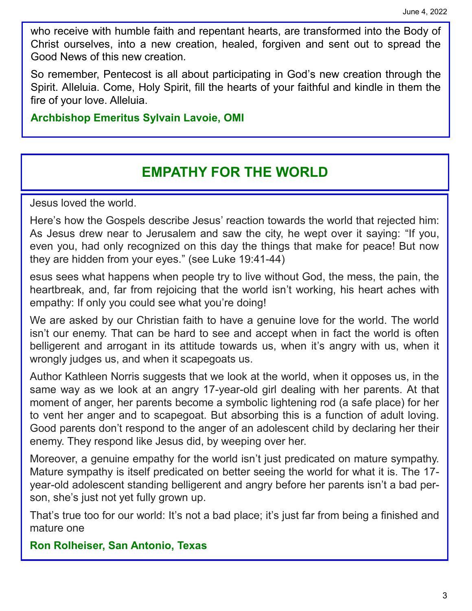who receive with humble faith and repentant hearts, are transformed into the Body of Christ ourselves, into a new creation, healed, forgiven and sent out to spread the Good News of this new creation.

So remember, Pentecost is all about participating in God's new creation through the Spirit. Alleluia. Come, Holy Spirit, fill the hearts of your faithful and kindle in them the fire of your love. Alleluia.

**Archbishop Emeritus Sylvain Lavoie, OMI**

# **EMPATHY FOR THE WORLD**

Jesus loved the world.

Here's how the Gospels describe Jesus' reaction towards the world that rejected him: As Jesus drew near to Jerusalem and saw the city, he wept over it saying: "If you, even you, had only recognized on this day the things that make for peace! But now they are hidden from your eyes." (see Luke 19:41-44)

esus sees what happens when people try to live without God, the mess, the pain, the heartbreak, and, far from rejoicing that the world isn't working, his heart aches with empathy: If only you could see what you're doing!

We are asked by our Christian faith to have a genuine love for the world. The world isn't our enemy. That can be hard to see and accept when in fact the world is often belligerent and arrogant in its attitude towards us, when it's angry with us, when it wrongly judges us, and when it scapegoats us.

Author Kathleen Norris suggests that we look at the world, when it opposes us, in the same way as we look at an angry 17-year-old girl dealing with her parents. At that moment of anger, her parents become a symbolic lightening rod (a safe place) for her to vent her anger and to scapegoat. But absorbing this is a function of adult loving. Good parents don't respond to the anger of an adolescent child by declaring her their enemy. They respond like Jesus did, by weeping over her.

Moreover, a genuine empathy for the world isn't just predicated on mature sympathy. Mature sympathy is itself predicated on better seeing the world for what it is. The 17 year-old adolescent standing belligerent and angry before her parents isn't a bad person, she's just not yet fully grown up.

That's true too for our world: It's not a bad place; it's just far from being a finished and mature one

**Ron Rolheiser, San Antonio, Texas**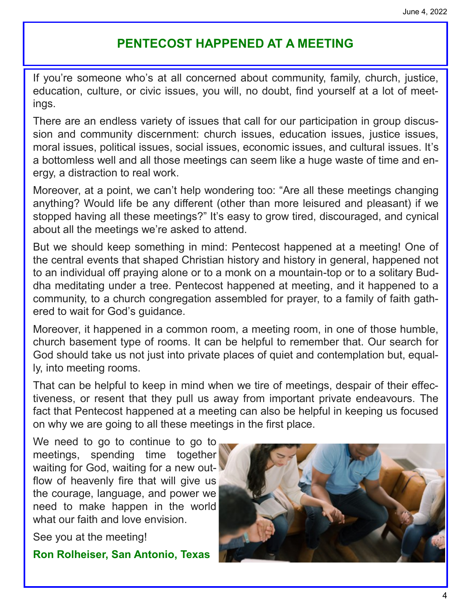# **PENTECOST HAPPENED AT A MEETING**

If you're someone who's at all concerned about community, family, church, justice, education, culture, or civic issues, you will, no doubt, find yourself at a lot of meetings.

There are an endless variety of issues that call for our participation in group discussion and community discernment: church issues, education issues, justice issues, moral issues, political issues, social issues, economic issues, and cultural issues. It's a bottomless well and all those meetings can seem like a huge waste of time and energy, a distraction to real work.

Moreover, at a point, we can't help wondering too: "Are all these meetings changing anything? Would life be any different (other than more leisured and pleasant) if we stopped having all these meetings?" It's easy to grow tired, discouraged, and cynical about all the meetings we're asked to attend.

But we should keep something in mind: Pentecost happened at a meeting! One of the central events that shaped Christian history and history in general, happened not to an individual off praying alone or to a monk on a mountain-top or to a solitary Buddha meditating under a tree. Pentecost happened at meeting, and it happened to a community, to a church congregation assembled for prayer, to a family of faith gathered to wait for God's guidance.

Moreover, it happened in a common room, a meeting room, in one of those humble, church basement type of rooms. It can be helpful to remember that. Our search for God should take us not just into private places of quiet and contemplation but, equally, into meeting rooms.

That can be helpful to keep in mind when we tire of meetings, despair of their effectiveness, or resent that they pull us away from important private endeavours. The fact that Pentecost happened at a meeting can also be helpful in keeping us focused on why we are going to all these meetings in the first place.

We need to go to continue to go to meetings, spending time together waiting for God, waiting for a new outflow of heavenly fire that will give us the courage, language, and power we need to make happen in the world what our faith and love envision

See you at the meeting!

**Ron Rolheiser, San Antonio, Texas**

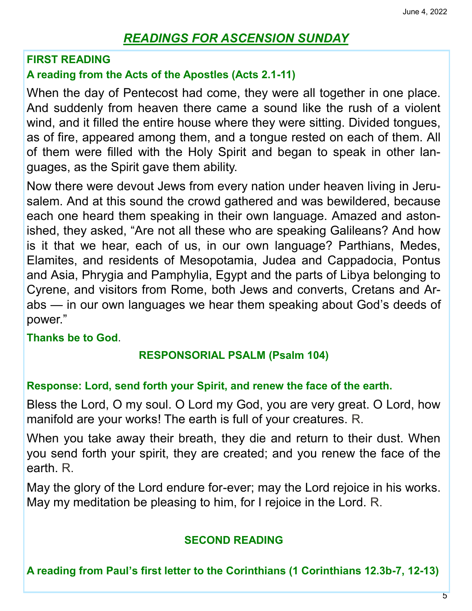# *READINGS FOR ASCENSION SUNDAY*

#### **FIRST READING**

## **A reading from the Acts of the Apostles (Acts 2.1-11)**

When the day of Pentecost had come, they were all together in one place. And suddenly from heaven there came a sound like the rush of a violent wind, and it filled the entire house where they were sitting. Divided tongues, as of fire, appeared among them, and a tongue rested on each of them. All of them were filled with the Holy Spirit and began to speak in other languages, as the Spirit gave them ability.

Now there were devout Jews from every nation under heaven living in Jerusalem. And at this sound the crowd gathered and was bewildered, because each one heard them speaking in their own language. Amazed and astonished, they asked, "Are not all these who are speaking Galileans? And how is it that we hear, each of us, in our own language? Parthians, Medes, Elamites, and residents of Mesopotamia, Judea and Cappadocia, Pontus and Asia, Phrygia and Pamphylia, Egypt and the parts of Libya belonging to Cyrene, and visitors from Rome, both Jews and converts, Cretans and Arabs — in our own languages we hear them speaking about God's deeds of power."

#### **Thanks be to God**.

#### **RESPONSORIAL PSALM (Psalm 104)**

#### **Response: Lord, send forth your Spirit, and renew the face of the earth.**

Bless the Lord, O my soul. O Lord my God, you are very great. O Lord, how manifold are your works! The earth is full of your creatures. R.

When you take away their breath, they die and return to their dust. When you send forth your spirit, they are created; and you renew the face of the earth. R.

May the glory of the Lord endure for-ever; may the Lord rejoice in his works. May my meditation be pleasing to him, for I rejoice in the Lord. R.

#### **SECOND READING**

**A reading from Paul's first letter to the Corinthians (1 Corinthians 12.3b-7, 12-13)**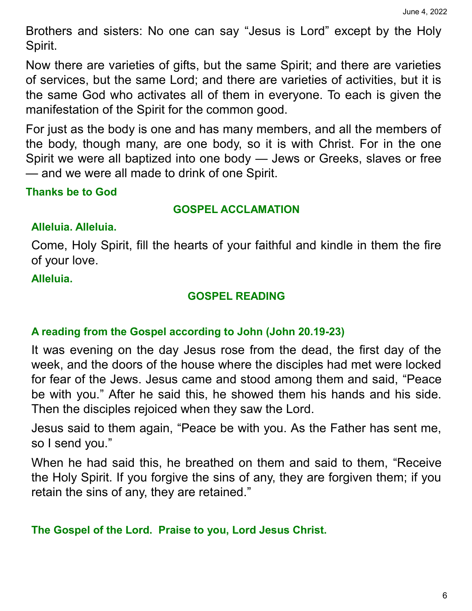Brothers and sisters: No one can say "Jesus is Lord" except by the Holy Spirit.

Now there are varieties of gifts, but the same Spirit; and there are varieties of services, but the same Lord; and there are varieties of activities, but it is the same God who activates all of them in everyone. To each is given the manifestation of the Spirit for the common good.

For just as the body is one and has many members, and all the members of the body, though many, are one body, so it is with Christ. For in the one Spirit we were all baptized into one body — Jews or Greeks, slaves or free — and we were all made to drink of one Spirit.

# **Thanks be to God**

#### **GOSPEL ACCLAMATION**

## **Alleluia. Alleluia.**

Come, Holy Spirit, fill the hearts of your faithful and kindle in them the fire of your love.

## **Alleluia.**

# **GOSPEL READING**

## **A reading from the Gospel according to John (John 20.19-23)**

It was evening on the day Jesus rose from the dead, the first day of the week, and the doors of the house where the disciples had met were locked for fear of the Jews. Jesus came and stood among them and said, "Peace be with you." After he said this, he showed them his hands and his side. Then the disciples rejoiced when they saw the Lord.

Jesus said to them again, "Peace be with you. As the Father has sent me, so I send you."

When he had said this, he breathed on them and said to them, "Receive the Holy Spirit. If you forgive the sins of any, they are forgiven them; if you retain the sins of any, they are retained."

# **The Gospel of the Lord. Praise to you, Lord Jesus Christ.**